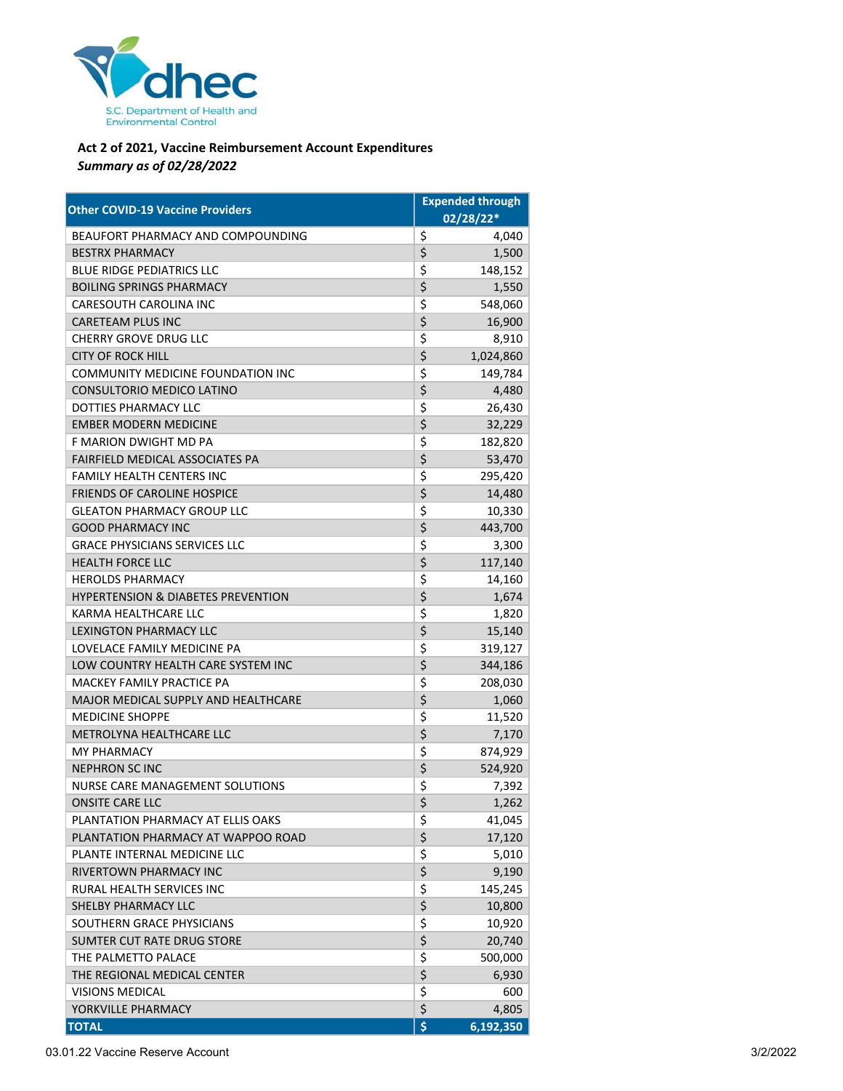

## **Act 2 of 2021, Vaccine Reimbursement Account Expenditures** *Summary as of 02/28/2022*

| <b>Other COVID-19 Vaccine Providers</b>       |    | <b>Expended through</b> |  |
|-----------------------------------------------|----|-------------------------|--|
|                                               |    | 02/28/22*               |  |
| BEAUFORT PHARMACY AND COMPOUNDING             | \$ | 4,040                   |  |
| <b>BESTRX PHARMACY</b>                        | \$ | 1,500                   |  |
| <b>BLUE RIDGE PEDIATRICS LLC</b>              | \$ | 148,152                 |  |
| <b>BOILING SPRINGS PHARMACY</b>               | \$ | 1,550                   |  |
| <b>CARESOUTH CAROLINA INC</b>                 | \$ | 548,060                 |  |
| <b>CARETEAM PLUS INC</b>                      | \$ | 16,900                  |  |
| <b>CHERRY GROVE DRUG LLC</b>                  | \$ | 8,910                   |  |
| <b>CITY OF ROCK HILL</b>                      | \$ | 1,024,860               |  |
| COMMUNITY MEDICINE FOUNDATION INC             | \$ | 149,784                 |  |
| CONSULTORIO MEDICO LATINO                     | \$ | 4,480                   |  |
| DOTTIES PHARMACY LLC                          | \$ | 26,430                  |  |
| <b>EMBER MODERN MEDICINE</b>                  | \$ | 32,229                  |  |
| F MARION DWIGHT MD PA                         | \$ | 182,820                 |  |
| FAIRFIELD MEDICAL ASSOCIATES PA               | \$ | 53,470                  |  |
| <b>FAMILY HEALTH CENTERS INC</b>              | \$ | 295,420                 |  |
| <b>FRIENDS OF CAROLINE HOSPICE</b>            | \$ | 14,480                  |  |
| <b>GLEATON PHARMACY GROUP LLC</b>             | \$ | 10,330                  |  |
| <b>GOOD PHARMACY INC</b>                      | \$ | 443,700                 |  |
| <b>GRACE PHYSICIANS SERVICES LLC</b>          | \$ | 3,300                   |  |
| <b>HEALTH FORCE LLC</b>                       | \$ | 117,140                 |  |
| <b>HEROLDS PHARMACY</b>                       | \$ | 14,160                  |  |
| <b>HYPERTENSION &amp; DIABETES PREVENTION</b> | \$ | 1,674                   |  |
| KARMA HEALTHCARE LLC                          | \$ | 1,820                   |  |
| <b>LEXINGTON PHARMACY LLC</b>                 | \$ | 15,140                  |  |
| LOVELACE FAMILY MEDICINE PA                   | \$ | 319,127                 |  |
| LOW COUNTRY HEALTH CARE SYSTEM INC            | \$ | 344,186                 |  |
| <b>MACKEY FAMILY PRACTICE PA</b>              | \$ | 208,030                 |  |
| MAJOR MEDICAL SUPPLY AND HEALTHCARE           | \$ | 1,060                   |  |
| <b>MEDICINE SHOPPE</b>                        | \$ | 11,520                  |  |
| METROLYNA HEALTHCARE LLC                      | \$ | 7,170                   |  |
| <b>MY PHARMACY</b>                            | \$ | 874,929                 |  |
| <b>NEPHRON SCINC</b>                          | \$ | 524,920                 |  |
| <b>NURSE CARE MANAGEMENT SOLUTIONS</b>        | \$ | 7,392                   |  |
| <b>ONSITE CARE LLC</b>                        | \$ | 1,262                   |  |
| PLANTATION PHARMACY AT ELLIS OAKS             | \$ | 41,045                  |  |
| PLANTATION PHARMACY AT WAPPOO ROAD            | \$ | 17,120                  |  |
| PLANTE INTERNAL MEDICINE LLC                  | \$ | 5,010                   |  |
| RIVERTOWN PHARMACY INC                        | \$ | 9,190                   |  |
| RURAL HEALTH SERVICES INC                     | \$ | 145,245                 |  |
| SHELBY PHARMACY LLC                           | \$ | 10,800                  |  |
| SOUTHERN GRACE PHYSICIANS                     | \$ | 10,920                  |  |
| SUMTER CUT RATE DRUG STORE                    | \$ | 20,740                  |  |
| THE PALMETTO PALACE                           | \$ | 500,000                 |  |
| THE REGIONAL MEDICAL CENTER                   | \$ | 6,930                   |  |
| <b>VISIONS MEDICAL</b>                        | \$ | 600                     |  |
| YORKVILLE PHARMACY                            | \$ | 4,805                   |  |
| <b>TOTAL</b>                                  | \$ | 6,192,350               |  |

03.01.22 Vaccine Reserve Account 3/2/2022